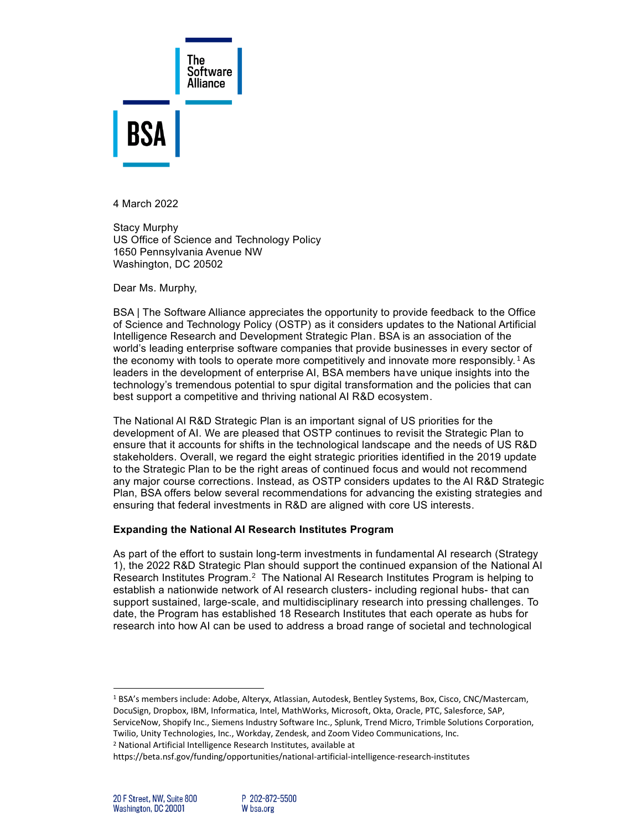

4 March 2022

Stacy Murphy US Office of Science and Technology Policy 1650 Pennsylvania Avenue NW Washington, DC 20502

Dear Ms. Murphy,

BSA | The Software Alliance appreciates the opportunity to provide feedback to the Office of Science and Technology Policy (OSTP) as it considers updates to the National Artificial Intelligence Research and Development Strategic Plan. BSA is an association of the world's leading enterprise software companies that provide businesses in every sector of the economy with tools to operate more competitively and innovate more responsibly.<sup>1</sup> As leaders in the development of enterprise AI, BSA members have unique insights into the technology's tremendous potential to spur digital transformation and the policies that can best support a competitive and thriving national AI R&D ecosystem.

The National AI R&D Strategic Plan is an important signal of US priorities for the development of AI. We are pleased that OSTP continues to revisit the Strategic Plan to ensure that it accounts for shifts in the technological landscape and the needs of US R&D stakeholders. Overall, we regard the eight strategic priorities identified in the 2019 update to the Strategic Plan to be the right areas of continued focus and would not recommend any major course corrections. Instead, as OSTP considers updates to the AI R&D Strategic Plan, BSA offers below several recommendations for advancing the existing strategies and ensuring that federal investments in R&D are aligned with core US interests.

## **Expanding the National AI Research Institutes Program**

As part of the effort to sustain long-term investments in fundamental AI research (Strategy 1), the 2022 R&D Strategic Plan should support the continued expansion of the National AI Research Institutes Program.<sup>2</sup> The National AI Research Institutes Program is helping to establish a nationwide network of AI research clusters- including regional hubs- that can support sustained, large-scale, and multidisciplinary research into pressing challenges. To date, the Program has established 18 Research Institutes that each operate as hubs for research into how AI can be used to address a broad range of societal and technological

<sup>1</sup> BSA's members include: Adobe, Alteryx, Atlassian, Autodesk, Bentley Systems, Box, Cisco, CNC/Mastercam, DocuSign, Dropbox, IBM, Informatica, Intel, MathWorks, Microsoft, Okta, Oracle, PTC, Salesforce, SAP, ServiceNow, Shopify Inc., Siemens Industry Software Inc., Splunk, Trend Micro, Trimble Solutions Corporation, Twilio, Unity Technologies, Inc., Workday, Zendesk, and Zoom Video Communications, Inc. <sup>2</sup> National Artificial Intelligence Research Institutes, available at

<https://beta.nsf.gov/funding/opportunities/national-artificial-intelligence-research-institutes>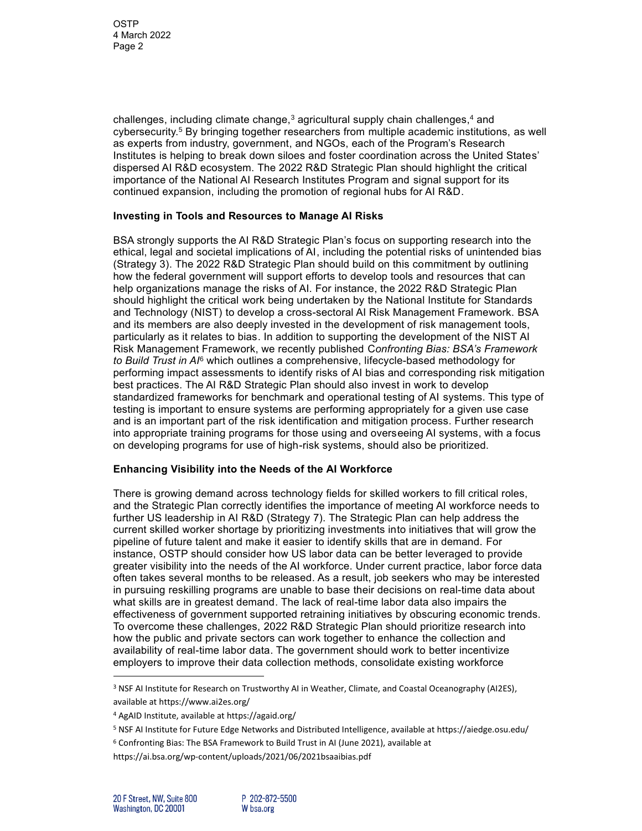**OSTP** 4 March 2022 Page 2

challenges, including climate change,<sup>3</sup> agricultural supply chain challenges,<sup>4</sup> and cybersecurity.<sup>5</sup> By bringing together researchers from multiple academic institutions, as well as experts from industry, government, and NGOs, each of the Program's Research Institutes is helping to break down siloes and foster coordination across the United States' dispersed AI R&D ecosystem. The 2022 R&D Strategic Plan should highlight the critical importance of the National AI Research Institutes Program and signal support for its continued expansion, including the promotion of regional hubs for AI R&D.

## **Investing in Tools and Resources to Manage AI Risks**

BSA strongly supports the AI R&D Strategic Plan's focus on supporting research into the ethical, legal and societal implications of AI, including the potential risks of unintended bias (Strategy 3). The 2022 R&D Strategic Plan should build on this commitment by outlining how the federal government will support efforts to develop tools and resources that can help organizations manage the risks of AI. For instance, the 2022 R&D Strategic Plan should highlight the critical work being undertaken by the National Institute for Standards and Technology (NIST) to develop a cross-sectoral AI Risk Management Framework. BSA and its members are also deeply invested in the development of risk management tools, particularly as it relates to bias. In addition to supporting the development of the NIST AI Risk Management Framework, we recently published C*onfronting Bias: BSA's Framework to Build Trust in AI*<sup>6</sup> which outlines a comprehensive, lifecycle-based methodology for performing impact assessments to identify risks of AI bias and corresponding risk mitigation best practices. The AI R&D Strategic Plan should also invest in work to develop standardized frameworks for benchmark and operational testing of AI systems. This type of testing is important to ensure systems are performing appropriately for a given use case and is an important part of the risk identification and mitigation process. Further research into appropriate training programs for those using and overseeing AI systems, with a focus on developing programs for use of high-risk systems, should also be prioritized.

## **Enhancing Visibility into the Needs of the AI Workforce**

There is growing demand across technology fields for skilled workers to fill critical roles, and the Strategic Plan correctly identifies the importance of meeting AI workforce needs to further US leadership in AI R&D (Strategy 7). The Strategic Plan can help address the current skilled worker shortage by prioritizing investments into initiatives that will grow the pipeline of future talent and make it easier to identify skills that are in demand. For instance, OSTP should consider how US labor data can be better leveraged to provide greater visibility into the needs of the AI workforce. Under current practice, labor force data often takes several months to be released. As a result, job seekers who may be interested in pursuing reskilling programs are unable to base their decisions on real-time data about what skills are in greatest demand. The lack of real-time labor data also impairs the effectiveness of government supported retraining initiatives by obscuring economic trends. To overcome these challenges, 2022 R&D Strategic Plan should prioritize research into how the public and private sectors can work together to enhance the collection and availability of real-time labor data. The government should work to better incentivize employers to improve their data collection methods, consolidate existing workforce

<sup>&</sup>lt;sup>3</sup> NSF AI Institute for Research on Trustworthy AI in Weather, Climate, and Coastal Oceanography (AI2ES), available at https://www.ai2es.org/

<sup>4</sup> AgAID Institute, available at https://agaid.org/

<sup>5</sup> NSF AI Institute for Future Edge Networks and Distributed Intelligence, available at https://aiedge.osu.edu/

<sup>6</sup> Confronting Bias: The BSA Framework to Build Trust in AI (June 2021), available at

<https://ai.bsa.org/wp-content/uploads/2021/06/2021bsaaibias.pdf>